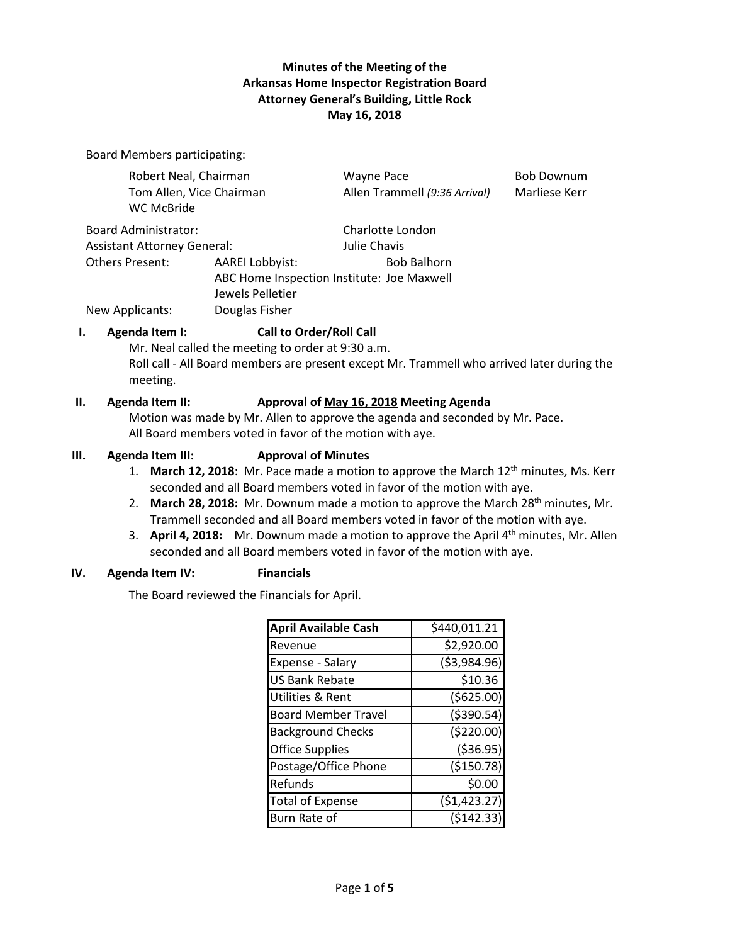## **Minutes of the Meeting of the Arkansas Home Inspector Registration Board Attorney General's Building, Little Rock May 16, 2018**

Board Members participating:

| Robert Neal, Chairman                  |                                                                | <b>Wayne Pace</b>             | <b>Bob Downum</b> |
|----------------------------------------|----------------------------------------------------------------|-------------------------------|-------------------|
| Tom Allen, Vice Chairman<br>WC McBride |                                                                | Allen Trammell (9:36 Arrival) | Marliese Kerr     |
| Board Administrator:                   |                                                                | Charlotte London              |                   |
| <b>Assistant Attorney General:</b>     |                                                                | Julie Chavis                  |                   |
| Others Present:                        | <b>AAREI Lobbyist:</b>                                         | <b>Bob Balhorn</b>            |                   |
|                                        | ABC Home Inspection Institute: Joe Maxwell<br>Jewels Pelletier |                               |                   |
| New Applicants:                        | Douglas Fisher                                                 |                               |                   |
|                                        |                                                                |                               |                   |

#### **I. Agenda Item I: Call to Order/Roll Call**

Mr. Neal called the meeting to order at 9:30 a.m. Roll call - All Board members are present except Mr. Trammell who arrived later during the meeting.

#### **II. Agenda Item II: Approval of May 16, 2018 Meeting Agenda**

Motion was made by Mr. Allen to approve the agenda and seconded by Mr. Pace. All Board members voted in favor of the motion with aye.

#### **III. Agenda Item III: Approval of Minutes**

- 1. March 12, 2018: Mr. Pace made a motion to approve the March 12<sup>th</sup> minutes, Ms. Kerr seconded and all Board members voted in favor of the motion with aye.
- 2. **March 28, 2018:** Mr. Downum made a motion to approve the March 28<sup>th</sup> minutes, Mr. Trammell seconded and all Board members voted in favor of the motion with aye.
- 3. **April 4, 2018:** Mr. Downum made a motion to approve the April 4th minutes, Mr. Allen seconded and all Board members voted in favor of the motion with aye.

## **IV. Agenda Item IV: Financials**

The Board reviewed the Financials for April.

| <b>April Available Cash</b> | \$440,011.21  |
|-----------------------------|---------------|
| Revenue                     | \$2,920.00    |
| Expense - Salary            | ( \$3,984.96) |
| <b>US Bank Rebate</b>       | \$10.36       |
| <b>Utilities &amp; Rent</b> | ( \$625.00)   |
| <b>Board Member Travel</b>  | ( \$390.54)   |
| <b>Background Checks</b>    | (\$220.00)    |
| <b>Office Supplies</b>      | ( \$36.95)    |
| Postage/Office Phone        | ( \$150.78)   |
| Refunds                     | \$0.00        |
| <b>Total of Expense</b>     | (51, 423.27)  |
| Burn Rate of                | (5142.33)     |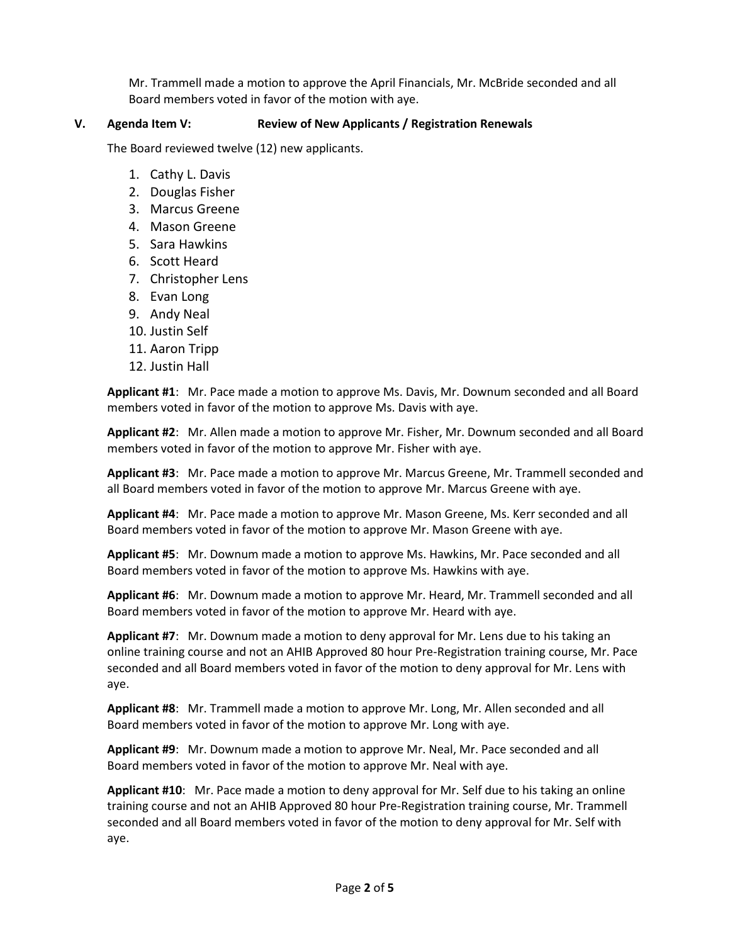Mr. Trammell made a motion to approve the April Financials, Mr. McBride seconded and all Board members voted in favor of the motion with aye.

### **V. Agenda Item V: Review of New Applicants / Registration Renewals**

The Board reviewed twelve (12) new applicants.

- 1. Cathy L. Davis
- 2. Douglas Fisher
- 3. Marcus Greene
- 4. Mason Greene
- 5. Sara Hawkins
- 6. Scott Heard
- 7. Christopher Lens
- 8. Evan Long
- 9. Andy Neal
- 10. Justin Self
- 11. Aaron Tripp
- 12. Justin Hall

**Applicant #1**: Mr. Pace made a motion to approve Ms. Davis, Mr. Downum seconded and all Board members voted in favor of the motion to approve Ms. Davis with aye.

**Applicant #2**: Mr. Allen made a motion to approve Mr. Fisher, Mr. Downum seconded and all Board members voted in favor of the motion to approve Mr. Fisher with aye.

**Applicant #3**: Mr. Pace made a motion to approve Mr. Marcus Greene, Mr. Trammell seconded and all Board members voted in favor of the motion to approve Mr. Marcus Greene with aye.

**Applicant #4**: Mr. Pace made a motion to approve Mr. Mason Greene, Ms. Kerr seconded and all Board members voted in favor of the motion to approve Mr. Mason Greene with aye.

**Applicant #5**: Mr. Downum made a motion to approve Ms. Hawkins, Mr. Pace seconded and all Board members voted in favor of the motion to approve Ms. Hawkins with aye.

**Applicant #6**: Mr. Downum made a motion to approve Mr. Heard, Mr. Trammell seconded and all Board members voted in favor of the motion to approve Mr. Heard with aye.

**Applicant #7**: Mr. Downum made a motion to deny approval for Mr. Lens due to his taking an online training course and not an AHIB Approved 80 hour Pre-Registration training course, Mr. Pace seconded and all Board members voted in favor of the motion to deny approval for Mr. Lens with aye.

**Applicant #8**: Mr. Trammell made a motion to approve Mr. Long, Mr. Allen seconded and all Board members voted in favor of the motion to approve Mr. Long with aye.

**Applicant #9**: Mr. Downum made a motion to approve Mr. Neal, Mr. Pace seconded and all Board members voted in favor of the motion to approve Mr. Neal with aye.

**Applicant #10**: Mr. Pace made a motion to deny approval for Mr. Self due to his taking an online training course and not an AHIB Approved 80 hour Pre-Registration training course, Mr. Trammell seconded and all Board members voted in favor of the motion to deny approval for Mr. Self with aye.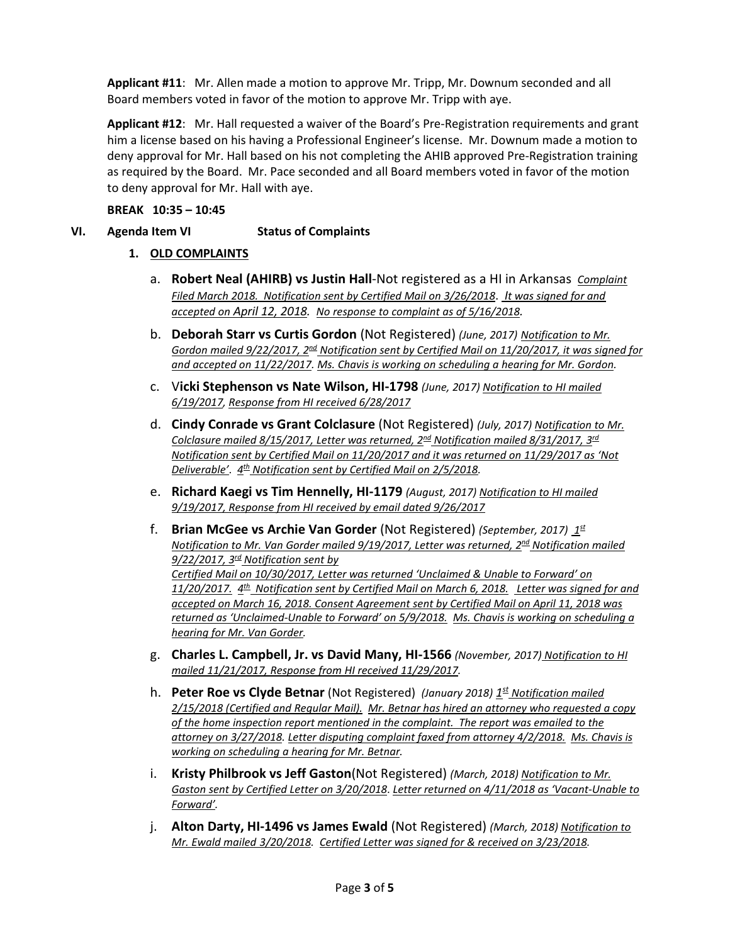**Applicant #11**: Mr. Allen made a motion to approve Mr. Tripp, Mr. Downum seconded and all Board members voted in favor of the motion to approve Mr. Tripp with aye.

**Applicant #12**: Mr. Hall requested a waiver of the Board's Pre-Registration requirements and grant him a license based on his having a Professional Engineer's license. Mr. Downum made a motion to deny approval for Mr. Hall based on his not completing the AHIB approved Pre-Registration training as required by the Board. Mr. Pace seconded and all Board members voted in favor of the motion to deny approval for Mr. Hall with aye.

**BREAK 10:35 – 10:45**

## **VI. Agenda Item VI Status of Complaints**

### **1. OLD COMPLAINTS**

- a. **Robert Neal (AHIRB) vs Justin Hall**-Not registered as a HI in Arkansas *Complaint Filed March 2018. Notification sent by Certified Mail on 3/26/2018*. *It was signed for and accepted on April 12, 2018. No response to complaint as of 5/16/2018.*
- b. **Deborah Starr vs Curtis Gordon** (Not Registered) *(June, 2017) Notification to Mr. Gordon mailed 9/22/2017, 2nd Notification sent by Certified Mail on 11/20/2017, it was signed for and accepted on 11/22/2017. Ms. Chavis is working on scheduling a hearing for Mr. Gordon.*
- c. V**icki Stephenson vs Nate Wilson, HI-1798** *(June, 2017) Notification to HI mailed 6/19/2017, Response from HI received 6/28/2017*
- d. **Cindy Conrade vs Grant Colclasure** (Not Registered) *(July, 2017) Notification to Mr. Colclasure mailed 8/15/2017, Letter was returned, 2nd Notification mailed 8/31/2017, 3rd Notification sent by Certified Mail on 11/20/2017 and it was returned on 11/29/2017 as 'Not Deliverable'*. *4th Notification sent by Certified Mail on 2/5/2018.*
- e. **Richard Kaegi vs Tim Hennelly, HI-1179** *(August, 2017) Notification to HI mailed 9/19/2017, Response from HI received by email dated 9/26/2017*
- f. **Brian McGee vs Archie Van Gorder** (Not Registered) *(September, 2017) 1st Notification to Mr. Van Gorder mailed 9/19/2017, Letter was returned, 2nd Notification mailed 9/22/2017, 3rd Notification sent by Certified Mail on 10/30/2017, Letter was returned 'Unclaimed & Unable to Forward' on 11/20/2017. 4th Notification sent by Certified Mail on March 6, 2018. Letter was signed for and accepted on March 16, 2018. Consent Agreement sent by Certified Mail on April 11, 2018 was returned as 'Unclaimed-Unable to Forward' on 5/9/2018. Ms. Chavis is working on scheduling a hearing for Mr. Van Gorder.*
- g. **Charles L. Campbell, Jr. vs David Many, HI-1566** *(November, 2017) Notification to HI mailed 11/21/2017, Response from HI received 11/29/2017.*
- h. **Peter Roe vs Clyde Betnar** (Not Registered) *(January 2018) 1st Notification mailed 2/15/2018 (Certified and Regular Mail). Mr. Betnar has hired an attorney who requested a copy of the home inspection report mentioned in the complaint. The report was emailed to the attorney on 3/27/2018. Letter disputing complaint faxed from attorney 4/2/2018. Ms. Chavis is working on scheduling a hearing for Mr. Betnar.*
- i. **Kristy Philbrook vs Jeff Gaston**(Not Registered) *(March, 2018) Notification to Mr. Gaston sent by Certified Letter on 3/20/2018*. *Letter returned on 4/11/2018 as 'Vacant-Unable to Forward'.*
- j. **Alton Darty, HI-1496 vs James Ewald** (Not Registered) *(March, 2018) Notification to Mr. Ewald mailed 3/20/2018. Certified Letter was signed for & received on 3/23/2018.*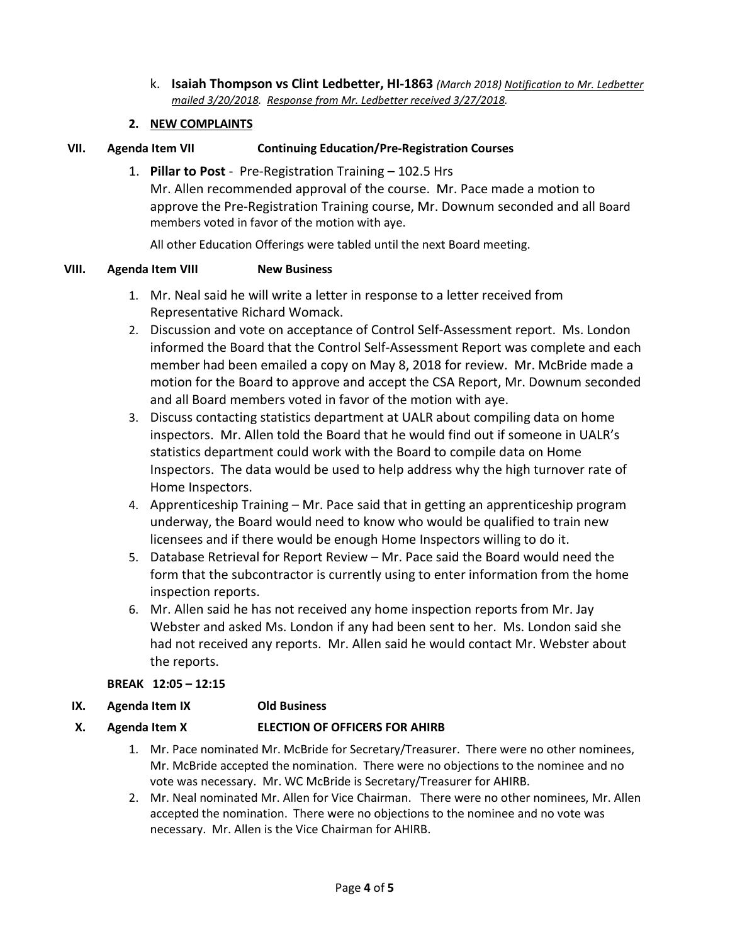k. **Isaiah Thompson vs Clint Ledbetter, HI-1863** *(March 2018) Notification to Mr. Ledbetter mailed 3/20/2018. Response from Mr. Ledbetter received 3/27/2018.*

# **2. NEW COMPLAINTS**

# **VII. Agenda Item VII Continuing Education/Pre-Registration Courses**

1. **Pillar to Post** - Pre-Registration Training – 102.5 Hrs Mr. Allen recommended approval of the course. Mr. Pace made a motion to approve the Pre-Registration Training course, Mr. Downum seconded and all Board members voted in favor of the motion with aye.

All other Education Offerings were tabled until the next Board meeting.

## **VIII. Agenda Item VIII New Business**

- 1. Mr. Neal said he will write a letter in response to a letter received from Representative Richard Womack.
- 2. Discussion and vote on acceptance of Control Self-Assessment report. Ms. London informed the Board that the Control Self-Assessment Report was complete and each member had been emailed a copy on May 8, 2018 for review. Mr. McBride made a motion for the Board to approve and accept the CSA Report, Mr. Downum seconded and all Board members voted in favor of the motion with aye.
- 3. Discuss contacting statistics department at UALR about compiling data on home inspectors. Mr. Allen told the Board that he would find out if someone in UALR's statistics department could work with the Board to compile data on Home Inspectors. The data would be used to help address why the high turnover rate of Home Inspectors.
- 4. Apprenticeship Training Mr. Pace said that in getting an apprenticeship program underway, the Board would need to know who would be qualified to train new licensees and if there would be enough Home Inspectors willing to do it.
- 5. Database Retrieval for Report Review Mr. Pace said the Board would need the form that the subcontractor is currently using to enter information from the home inspection reports.
- 6. Mr. Allen said he has not received any home inspection reports from Mr. Jay Webster and asked Ms. London if any had been sent to her. Ms. London said she had not received any reports. Mr. Allen said he would contact Mr. Webster about the reports.

# **BREAK 12:05 – 12:15**

**IX. Agenda Item IX Old Business**

# **X. Agenda Item X ELECTION OF OFFICERS FOR AHIRB**

- 1. Mr. Pace nominated Mr. McBride for Secretary/Treasurer. There were no other nominees, Mr. McBride accepted the nomination. There were no objections to the nominee and no vote was necessary. Mr. WC McBride is Secretary/Treasurer for AHIRB.
- 2. Mr. Neal nominated Mr. Allen for Vice Chairman. There were no other nominees, Mr. Allen accepted the nomination. There were no objections to the nominee and no vote was necessary. Mr. Allen is the Vice Chairman for AHIRB.